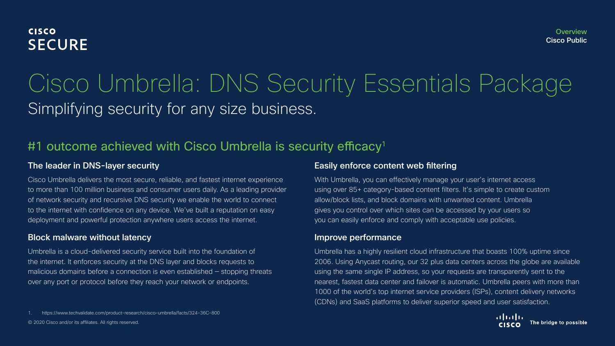# Cisco Umbrella: DNS Security Essentials Package Simplifying security for any size business.

### #1 outcome achieved with Cisco Umbrella is security efficacy<sup>1</sup>

#### The leader in DNS-layer security

Cisco Umbrella delivers the most secure, reliable, and fastest internet experience to more than 100 million business and consumer users daily. As a leading provider of network security and recursive DNS security we enable the world to connect to the internet with confidence on any device. We've built a reputation on easy deployment and powerful protection anywhere users access the internet.

#### Block malware without latency

Umbrella is a cloud-delivered security service built into the foundation of the internet. It enforces security at the DNS layer and blocks requests to malicious domains before a connection is even established — stopping threats over any port or protocol before they reach your network or endpoints.

1. <https://www.techvalidate.com/product-research/cisco-umbrella/facts/324-36C-800>

© 2020 Cisco and/or its affiliates. All rights reserved.

#### Easily enforce content web filtering

With Umbrella, you can effectively manage your user's internet access using over 85+ category-based content filters. It's simple to create custom allow/block lists, and block domains with unwanted content. Umbrella gives you control over which sites can be accessed by your users so you can easily enforce and comply with acceptable use policies.

#### Improve performance

Umbrella has a highly resilient cloud infrastructure that boasts 100% uptime since 2006. Using Anycast routing, our 32 plus data centers across the globe are available using the same single IP address, so your requests are transparently sent to the nearest, fastest data center and failover is automatic. Umbrella peers with more than 1000 of the world's top internet service providers (ISPs), content delivery networks (CDNs) and SaaS platforms to deliver superior speed and user satisfaction.

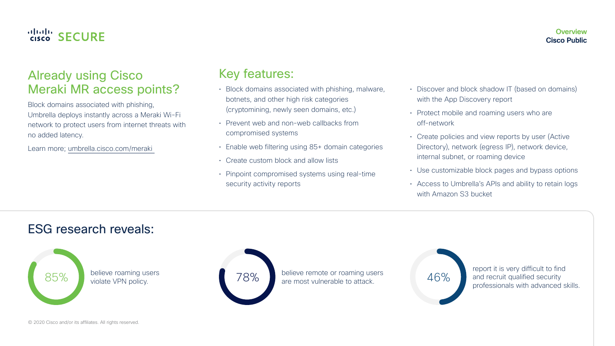# **Gludu** SECURE

### Already using Cisco Meraki MR access points?

Block domains associated with phishing, Umbrella deploys instantly across a Meraki Wi-Fi network to protect users from internet threats with no added latency.

Learn more; umbrella.cisco.com/meraki

#### Key features:

- Block domains associated with phishing, malware, botnets, and other high risk categories (cryptomining, newly seen domains, etc.)
- Prevent web and non-web callbacks from compromised systems
- Enable web filtering using 85+ domain categories
- Create custom block and allow lists
- Pinpoint compromised systems using real-time security activity reports

• Discover and block shadow IT (based on domains) with the App Discovery report

**Overview** Cisco Public

- Protect mobile and roaming users who are off-network
- Create policies and view reports by user (Active Directory), network (egress IP), network device, internal subnet, or roaming device
- Use customizable block pages and bypass options
- Access to Umbrella's APIs and ability to retain logs with Amazon S3 bucket

### ESG research reveals:

85% believe roaming users<br>violate VPN policy.



78% believe remote or roaming users are most vulnerable to attack.

46%

report it is very difficult to find and recruit qualified security professionals with advanced skills.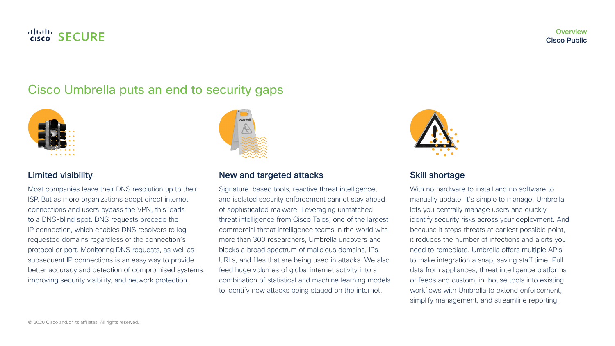## alulu SECURE

### Cisco Umbrella puts an end to security gaps



#### Limited visibility

Most companies leave their DNS resolution up to their ISP. But as more organizations adopt direct internet connections and users bypass the VPN, this leads to a DNS-blind spot. DNS requests precede the IP connection, which enables DNS resolvers to log requested domains regardless of the connection's protocol or port. Monitoring DNS requests, as well as subsequent IP connections is an easy way to provide better accuracy and detection of compromised systems, improving security visibility, and network protection.



#### New and targeted attacks

Signature-based tools, reactive threat intelligence, and isolated security enforcement cannot stay ahead of sophisticated malware. Leveraging unmatched threat intelligence from Cisco Talos, one of the largest commercial threat intelligence teams in the world with more than 300 researchers, Umbrella uncovers and blocks a broad spectrum of malicious domains, IPs, URLs, and files that are being used in attacks. We also feed huge volumes of global internet activity into a combination of statistical and machine learning models to identify new attacks being staged on the internet.



#### Skill shortage

With no hardware to install and no software to manually update, it's simple to manage. Umbrella lets you centrally manage users and quickly identify security risks across your deployment. And because it stops threats at earliest possible point, it reduces the number of infections and alerts you need to remediate. Umbrella offers multiple APIs to make integration a snap, saving staff time. Pull data from appliances, threat intelligence platforms or feeds and custom, in-house tools into existing workflows with Umbrella to extend enforcement, simplify management, and streamline reporting.